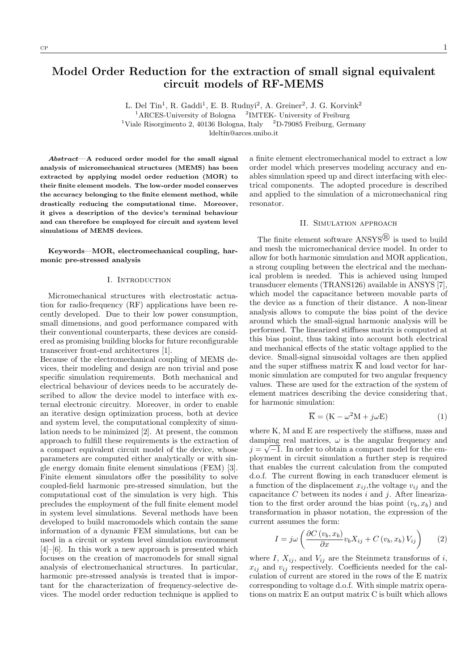L. Del Tin<sup>1</sup>, R. Gaddi<sup>1</sup>, E. B. Rudnyi<sup>2</sup>, A. Greiner<sup>2</sup>, J. G. Korvink<sup>2</sup> <sup>1</sup>ARCES-University of Bologna <sup>2</sup>IMTEK- University of Freiburg <sup>1</sup>Viale Risorgimento 2, 40136 Bologna, Italy <sup>2</sup>D-79085 Freiburg, Germany

ldeltin@arces.unibo.it

Abstract—A reduced order model for the small signal analysis of micromechanical structures (MEMS) has been extracted by applying model order reduction (MOR) to their finite element models. The low-order model conserves the accuracy belonging to the finite element method, while drastically reducing the computational time. Moreover, it gives a description of the device's terminal behaviour and can therefore be employed for circuit and system level simulations of MEMS devices.

Keywords—MOR, electromechanical coupling, harmonic pre-stressed analysis

### I. Introduction

Micromechanical structures with electrostatic actuation for radio-frequency (RF) applications have been recently developed. Due to their low power consumption, small dimensions, and good performance compared with their conventional counterparts, these devices are considered as promising building blocks for future reconfigurable transceiver front-end architectures [1].

Because of the electromechanical coupling of MEMS devices, their modeling and design are non trivial and pose specific simulation requirements. Both mechanical and electrical behaviour of devices needs to be accurately described to allow the device model to interface with external electronic circuitry. Moreover, in order to enable an iterative design optimization process, both at device and system level, the computational complexity of simulation needs to be minimized [2]. At present, the common approach to fulfill these requirements is the extraction of a compact equivalent circuit model of the device, whose parameters are computed either analytically or with single energy domain finite element simulations (FEM) [3]. Finite element simulators offer the possibility to solve coupled-field harmonic pre-stressed simulation, but the computational cost of the simulation is very high. This precludes the employment of the full finite element model in system level simulations. Several methods have been developed to build macromodels which contain the same information of a dynamic FEM simulations, but can be used in a circuit or system level simulation environment [4]–[6]. In this work a new approach is presented which focuses on the creation of macromodels for small signal analysis of electromechanical structures. In particular, harmonic pre-stressed analysis is treated that is important for the characterization of frequency-selective devices. The model order reduction technique is applied to

a finite element electromechanical model to extract a low order model which preserves modeling accuracy and enables simulation speed up and direct interfacing with electrical components. The adopted procedure is described and applied to the simulation of a micromechanical ring resonator.

# II. Simulation approach

The finite element software  $ANSYS^{(8)}$  is used to build and mesh the micromechanical device model. In order to allow for both harmonic simulation and MOR application, a strong coupling between the electrical and the mechanical problem is needed. This is achieved using lumped transducer elements (TRANS126) available in ANSYS [7], which model the capacitance between movable parts of the device as a function of their distance. A non-linear analysis allows to compute the bias point of the device around which the small-signal harmonic analysis will be performed. The linearized stiffness matrix is computed at this bias point, thus taking into account both electrical and mechanical effects of the static voltage applied to the device. Small-signal sinusoidal voltages are then applied and the super stiffness matrix  $\overline{K}$  and load vector for harmonic simulation are computed for two angular frequency values. These are used for the extraction of the system of element matrices describing the device considering that, for harmonic simulation:

$$
\overline{\mathbf{K}} = (\mathbf{K} - \omega^2 \mathbf{M} + j\omega \mathbf{E})\tag{1}
$$

where K, M and E are respectively the stiffness, mass and damping real matrices,  $\omega$  is the angular frequency and  $j = \sqrt{-1}$ . In order to obtain a compact model for the employment in circuit simulation a further step is required that enables the current calculation from the computed d.o.f. The current flowing in each transducer element is a function of the displacement  $x_{ij}$ , the voltage  $v_{ij}$  and the capacitance  $C$  between its nodes  $i$  and  $j$ . After linearization to the first order around the bias point  $(v_b, x_b)$  and transformation in phasor notation, the expression of the current assumes the form:

$$
I = j\omega \left( \frac{\partial C(v_b, x_b)}{\partial x} v_b X_{ij} + C(v_b, x_b) V_{ij} \right)
$$
 (2)

where I,  $X_{ij}$ , and  $V_{ij}$  are the Steinmetz transforms of i,  $x_{ij}$  and  $v_{ij}$  respectively. Coefficients needed for the calculation of current are stored in the rows of the E matrix corresponding to voltage d.o.f. With simple matrix operations on matrix E an output matrix C is built which allows